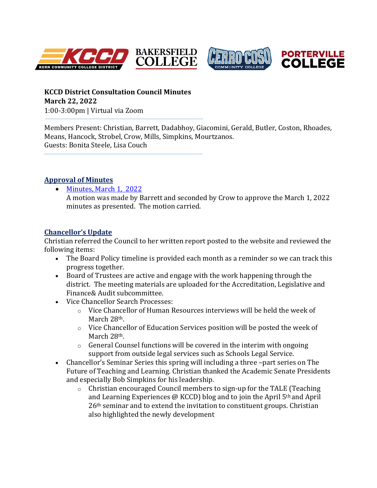





**KCCD District Consultation Council Minutes March 22, 2022** 1:00-3:00pm | Virtual via Zoom

Members Present: Christian, Barrett, Dadabhoy, Giacomini, Gerald, Butler, Coston, Rhoades, Means, Hancock, Strobel, Crow, Mills, Simpkins, Mourtzanos. Guests: Bonita Steele, Lisa Couch

## **Approval of Minutes**

[Minutes, March 1, 2022](https://committees.kccd.edu/sites/committees.kccd.edu/files/MinutesDCC_Mar%201%2C%202022.pdf)

A motion was made by Barrett and seconded by Crow to approve the March 1, 2022 minutes as presented. The motion carried.

# **[Chancellor's Update](https://committees.kccd.edu/sites/committees.kccd.edu/files/Sonya%27s%20Report%20to%20Consultation%20Council%20March%2022%202022.pdf)**

Christian referred the Council to her written report posted to the website and reviewed the following items:

- The Board Policy timeline is provided each month as a reminder so we can track this progress together.
- Board of Trustees are active and engage with the work happening through the district. The meeting materials are uploaded for the Accreditation, Legislative and Finance& Audit subcommittee.
- Vice Chancellor Search Processes:
	- $\circ$  Vice Chancellor of Human Resources interviews will be held the week of March 28<sup>th</sup>.
	- o Vice Chancellor of Education Services position will be posted the week of March 28<sup>th</sup>.
	- $\circ$  General Counsel functions will be covered in the interim with ongoing support from outside legal services such as Schools Legal Service.
- Chancellor's Seminar Series this spring will including a three –part series on The Future of Teaching and Learning. Christian thanked the Academic Senate Presidents and especially Bob Simpkins for his leadership.
	- o Christian encouraged Council members to sign-up for the TALE (Teaching and Learning Experiences @ KCCD) blog and to join the April  $5<sup>th</sup>$  and April 26th seminar and to extend the invitation to constituent groups. Christian also highlighted the newly development